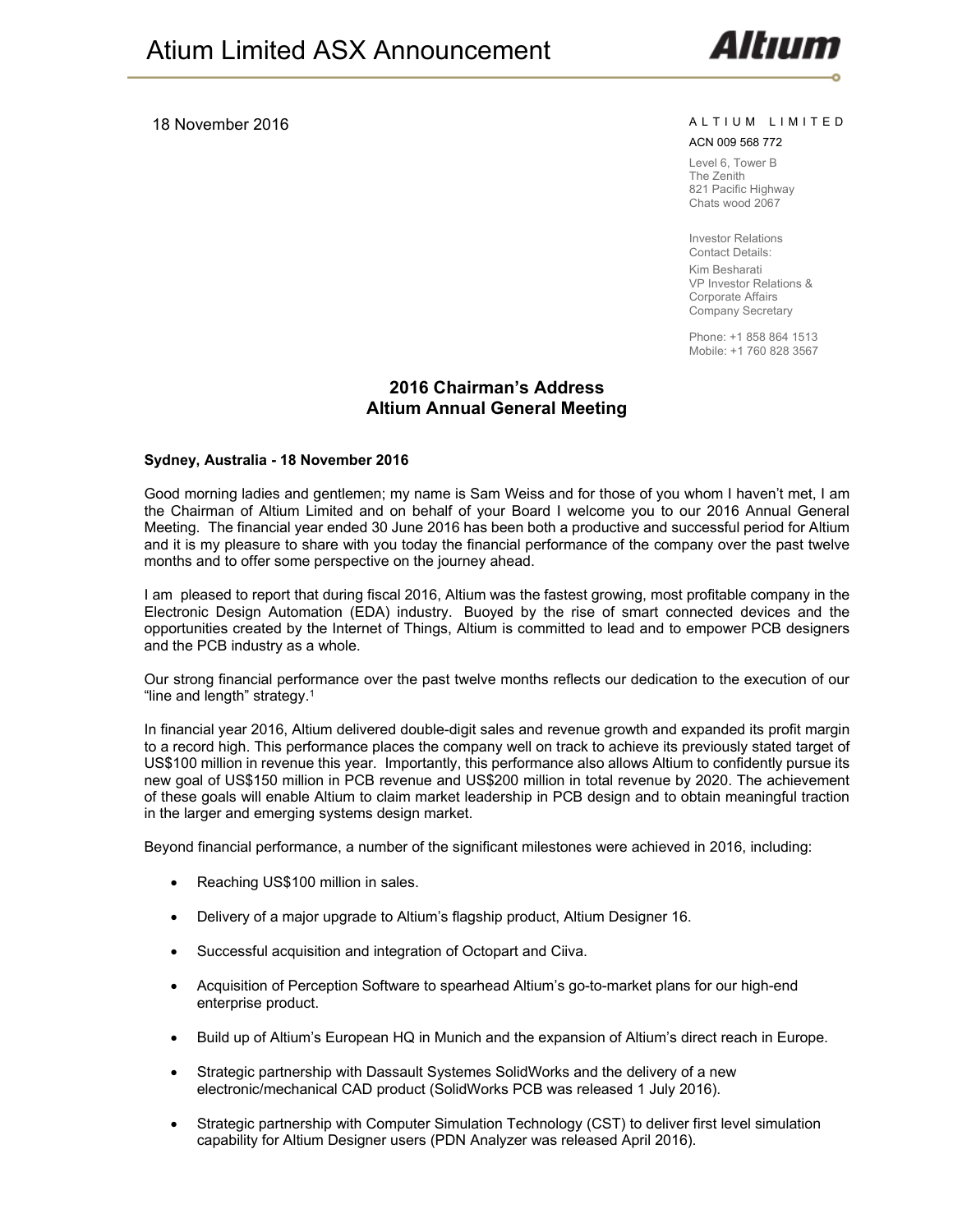#### 18 November 2016 **A L T I U M L I MITED**

Altın

#### ACN 009 568 772

Level 6, Tower B The Zenith 821 Pacific Highway Chats wood 2067

Investor Relations Contact Details:

Kim Besharati VP Investor Relations & Corporate Affairs Company Secretary

Phone: +1 858 864 1513 Mobile: +1 760 828 3567

# **2016 Chairman's Address Altium Annual General Meeting**

#### **Sydney, Australia - 18 November 2016**

Good morning ladies and gentlemen; my name is Sam Weiss and for those of you whom I haven't met, I am the Chairman of Altium Limited and on behalf of your Board I welcome you to our 2016 Annual General Meeting. The financial year ended 30 June 2016 has been both a productive and successful period for Altium and it is my pleasure to share with you today the financial performance of the company over the past twelve months and to offer some perspective on the journey ahead.

I am pleased to report that during fiscal 2016, Altium was the fastest growing, most profitable company in the Electronic Design Automation (EDA) industry. Buoyed by the rise of smart connected devices and the opportunities created by the Internet of Things, Altium is committed to lead and to empower PCB designers and the PCB industry as a whole.

Our strong financial performance over the past twelve months reflects our dedication to the execution of our "line and length" strategy.1

In financial year 2016, Altium delivered double-digit sales and revenue growth and expanded its profit margin to a record high. This performance places the company well on track to achieve its previously stated target of US\$100 million in revenue this year. Importantly, this performance also allows Altium to confidently pursue its new goal of US\$150 million in PCB revenue and US\$200 million in total revenue by 2020. The achievement of these goals will enable Altium to claim market leadership in PCB design and to obtain meaningful traction in the larger and emerging systems design market.

Beyond financial performance, a number of the significant milestones were achieved in 2016, including:

- Reaching US\$100 million in sales.
- Delivery of a major upgrade to Altium's flagship product, Altium Designer 16.
- Successful acquisition and integration of Octopart and Ciiva.
- Acquisition of Perception Software to spearhead Altium's go-to-market plans for our high-end enterprise product.
- Build up of Altium's European HQ in Munich and the expansion of Altium's direct reach in Europe.
- Strategic partnership with Dassault Systemes SolidWorks and the delivery of a new electronic/mechanical CAD product (SolidWorks PCB was released 1 July 2016).
- Strategic partnership with Computer Simulation Technology (CST) to deliver first level simulation capability for Altium Designer users (PDN Analyzer was released April 2016).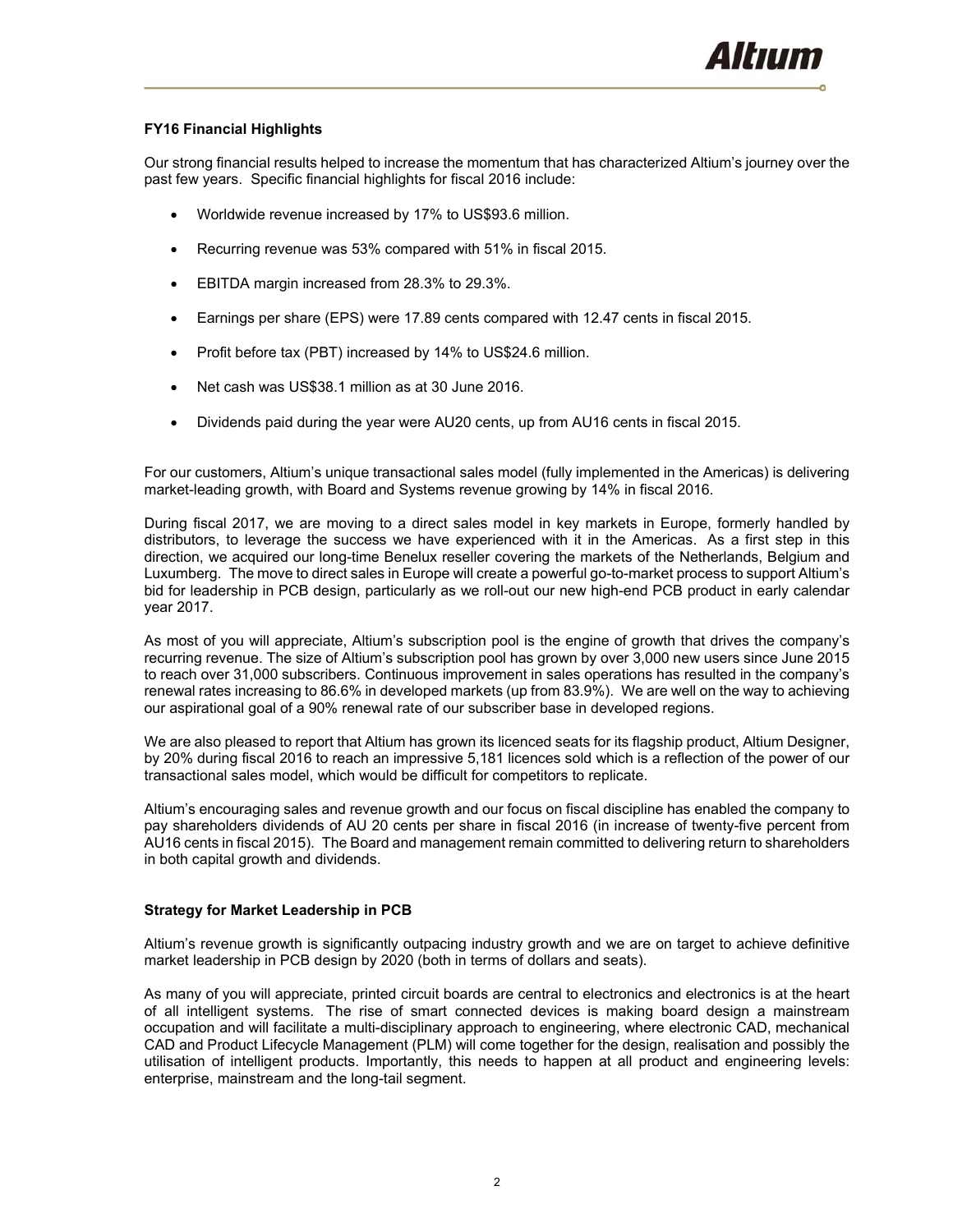# **FY16 Financial Highlights**

Our strong financial results helped to increase the momentum that has characterized Altium's journey over the past few years. Specific financial highlights for fiscal 2016 include:

- Worldwide revenue increased by 17% to US\$93.6 million.
- Recurring revenue was 53% compared with 51% in fiscal 2015.
- EBITDA margin increased from 28.3% to 29.3%.
- Earnings per share (EPS) were 17.89 cents compared with 12.47 cents in fiscal 2015.
- Profit before tax (PBT) increased by 14% to US\$24.6 million.
- Net cash was US\$38.1 million as at 30 June 2016.
- Dividends paid during the year were AU20 cents, up from AU16 cents in fiscal 2015.

For our customers, Altium's unique transactional sales model (fully implemented in the Americas) is delivering market-leading growth, with Board and Systems revenue growing by 14% in fiscal 2016.

During fiscal 2017, we are moving to a direct sales model in key markets in Europe, formerly handled by distributors, to leverage the success we have experienced with it in the Americas. As a first step in this direction, we acquired our long-time Benelux reseller covering the markets of the Netherlands, Belgium and Luxumberg. The move to direct sales in Europe will create a powerful go-to-market process to support Altium's bid for leadership in PCB design, particularly as we roll-out our new high-end PCB product in early calendar year 2017.

As most of you will appreciate, Altium's subscription pool is the engine of growth that drives the company's recurring revenue. The size of Altium's subscription pool has grown by over 3,000 new users since June 2015 to reach over 31,000 subscribers. Continuous improvement in sales operations has resulted in the company's renewal rates increasing to 86.6% in developed markets (up from 83.9%). We are well on the way to achieving our aspirational goal of a 90% renewal rate of our subscriber base in developed regions.

We are also pleased to report that Altium has grown its licenced seats for its flagship product, Altium Designer, by 20% during fiscal 2016 to reach an impressive 5,181 licences sold which is a reflection of the power of our transactional sales model, which would be difficult for competitors to replicate.

Altium's encouraging sales and revenue growth and our focus on fiscal discipline has enabled the company to pay shareholders dividends of AU 20 cents per share in fiscal 2016 (in increase of twenty-five percent from AU16 cents in fiscal 2015). The Board and management remain committed to delivering return to shareholders in both capital growth and dividends.

## **Strategy for Market Leadership in PCB**

Altium's revenue growth is significantly outpacing industry growth and we are on target to achieve definitive market leadership in PCB design by 2020 (both in terms of dollars and seats).

As many of you will appreciate, printed circuit boards are central to electronics and electronics is at the heart of all intelligent systems. The rise of smart connected devices is making board design a mainstream occupation and will facilitate a multi-disciplinary approach to engineering, where electronic CAD, mechanical CAD and Product Lifecycle Management (PLM) will come together for the design, realisation and possibly the utilisation of intelligent products. Importantly, this needs to happen at all product and engineering levels: enterprise, mainstream and the long-tail segment.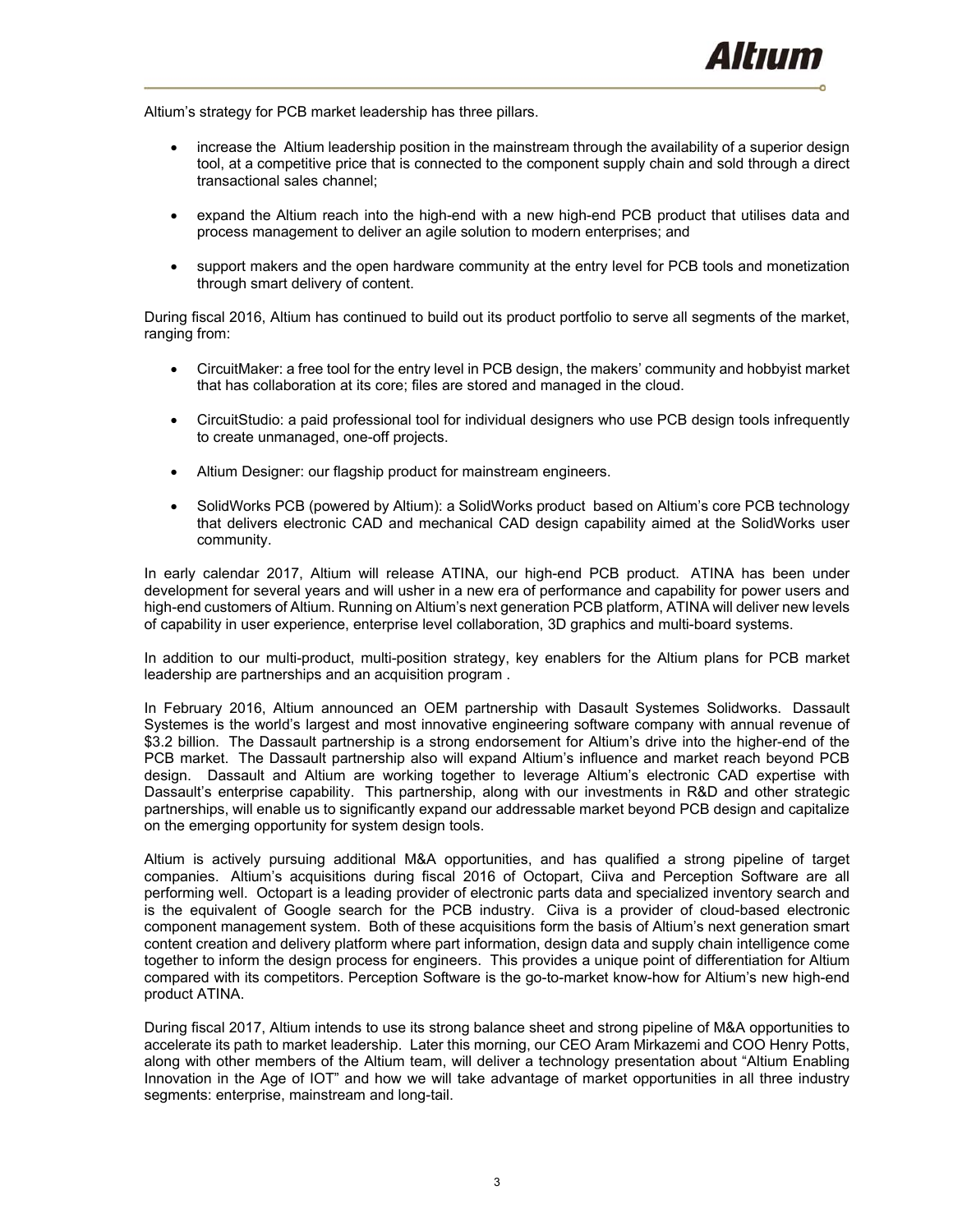Altium's strategy for PCB market leadership has three pillars.

- increase the Altium leadership position in the mainstream through the availability of a superior design tool, at a competitive price that is connected to the component supply chain and sold through a direct transactional sales channel;
- expand the Altium reach into the high-end with a new high-end PCB product that utilises data and process management to deliver an agile solution to modern enterprises; and
- support makers and the open hardware community at the entry level for PCB tools and monetization through smart delivery of content.

During fiscal 2016, Altium has continued to build out its product portfolio to serve all segments of the market, ranging from:

- CircuitMaker: a free tool for the entry level in PCB design, the makers' community and hobbyist market that has collaboration at its core; files are stored and managed in the cloud.
- CircuitStudio: a paid professional tool for individual designers who use PCB design tools infrequently to create unmanaged, one-off projects.
- Altium Designer: our flagship product for mainstream engineers.
- SolidWorks PCB (powered by Altium): a SolidWorks product based on Altium's core PCB technology that delivers electronic CAD and mechanical CAD design capability aimed at the SolidWorks user community.

In early calendar 2017, Altium will release ATINA, our high-end PCB product. ATINA has been under development for several years and will usher in a new era of performance and capability for power users and high-end customers of Altium. Running on Altium's next generation PCB platform, ATINA will deliver new levels of capability in user experience, enterprise level collaboration, 3D graphics and multi-board systems.

In addition to our multi-product, multi-position strategy, key enablers for the Altium plans for PCB market leadership are partnerships and an acquisition program .

In February 2016, Altium announced an OEM partnership with Dasault Systemes Solidworks. Dassault Systemes is the world's largest and most innovative engineering software company with annual revenue of \$3.2 billion. The Dassault partnership is a strong endorsement for Altium's drive into the higher-end of the PCB market. The Dassault partnership also will expand Altium's influence and market reach beyond PCB design. Dassault and Altium are working together to leverage Altium's electronic CAD expertise with Dassault's enterprise capability. This partnership, along with our investments in R&D and other strategic partnerships, will enable us to significantly expand our addressable market beyond PCB design and capitalize on the emerging opportunity for system design tools.

Altium is actively pursuing additional M&A opportunities, and has qualified a strong pipeline of target companies. Altium's acquisitions during fiscal 2016 of Octopart, Ciiva and Perception Software are all performing well. Octopart is a leading provider of electronic parts data and specialized inventory search and is the equivalent of Google search for the PCB industry. Ciiva is a provider of cloud-based electronic component management system. Both of these acquisitions form the basis of Altium's next generation smart content creation and delivery platform where part information, design data and supply chain intelligence come together to inform the design process for engineers. This provides a unique point of differentiation for Altium compared with its competitors. Perception Software is the go-to-market know-how for Altium's new high-end product ATINA.

During fiscal 2017, Altium intends to use its strong balance sheet and strong pipeline of M&A opportunities to accelerate its path to market leadership. Later this morning, our CEO Aram Mirkazemi and COO Henry Potts, along with other members of the Altium team, will deliver a technology presentation about "Altium Enabling Innovation in the Age of IOT" and how we will take advantage of market opportunities in all three industry segments: enterprise, mainstream and long-tail.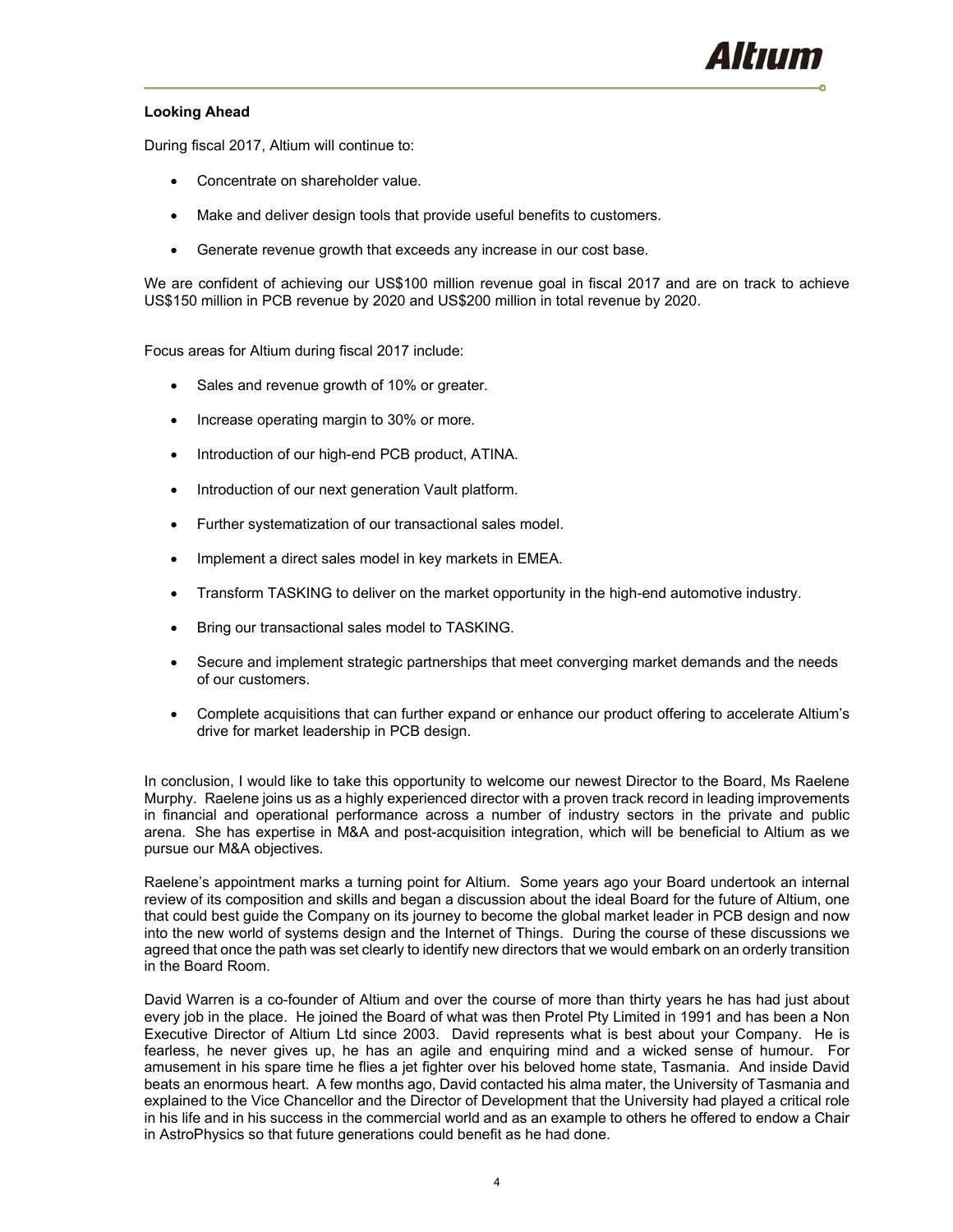

## **Looking Ahead**

During fiscal 2017, Altium will continue to:

- Concentrate on shareholder value.
- Make and deliver design tools that provide useful benefits to customers.
- Generate revenue growth that exceeds any increase in our cost base.

We are confident of achieving our US\$100 million revenue goal in fiscal 2017 and are on track to achieve US\$150 million in PCB revenue by 2020 and US\$200 million in total revenue by 2020.

Focus areas for Altium during fiscal 2017 include:

- Sales and revenue growth of 10% or greater.
- Increase operating margin to 30% or more.
- Introduction of our high-end PCB product, ATINA.
- Introduction of our next generation Vault platform.
- Further systematization of our transactional sales model.
- Implement a direct sales model in key markets in EMEA.
- Transform TASKING to deliver on the market opportunity in the high-end automotive industry.
- Bring our transactional sales model to TASKING.
- Secure and implement strategic partnerships that meet converging market demands and the needs of our customers.
- Complete acquisitions that can further expand or enhance our product offering to accelerate Altium's drive for market leadership in PCB design.

In conclusion, I would like to take this opportunity to welcome our newest Director to the Board, Ms Raelene Murphy. Raelene joins us as a highly experienced director with a proven track record in leading improvements in financial and operational performance across a number of industry sectors in the private and public arena. She has expertise in M&A and post-acquisition integration, which will be beneficial to Altium as we pursue our M&A objectives.

Raelene's appointment marks a turning point for Altium. Some years ago your Board undertook an internal review of its composition and skills and began a discussion about the ideal Board for the future of Altium, one that could best guide the Company on its journey to become the global market leader in PCB design and now into the new world of systems design and the Internet of Things. During the course of these discussions we agreed that once the path was set clearly to identify new directors that we would embark on an orderly transition in the Board Room.

David Warren is a co-founder of Altium and over the course of more than thirty years he has had just about every job in the place. He joined the Board of what was then Protel Pty Limited in 1991 and has been a Non Executive Director of Altium Ltd since 2003. David represents what is best about your Company. He is fearless, he never gives up, he has an agile and enquiring mind and a wicked sense of humour. For amusement in his spare time he flies a jet fighter over his beloved home state, Tasmania. And inside David beats an enormous heart. A few months ago, David contacted his alma mater, the University of Tasmania and explained to the Vice Chancellor and the Director of Development that the University had played a critical role in his life and in his success in the commercial world and as an example to others he offered to endow a Chair in AstroPhysics so that future generations could benefit as he had done.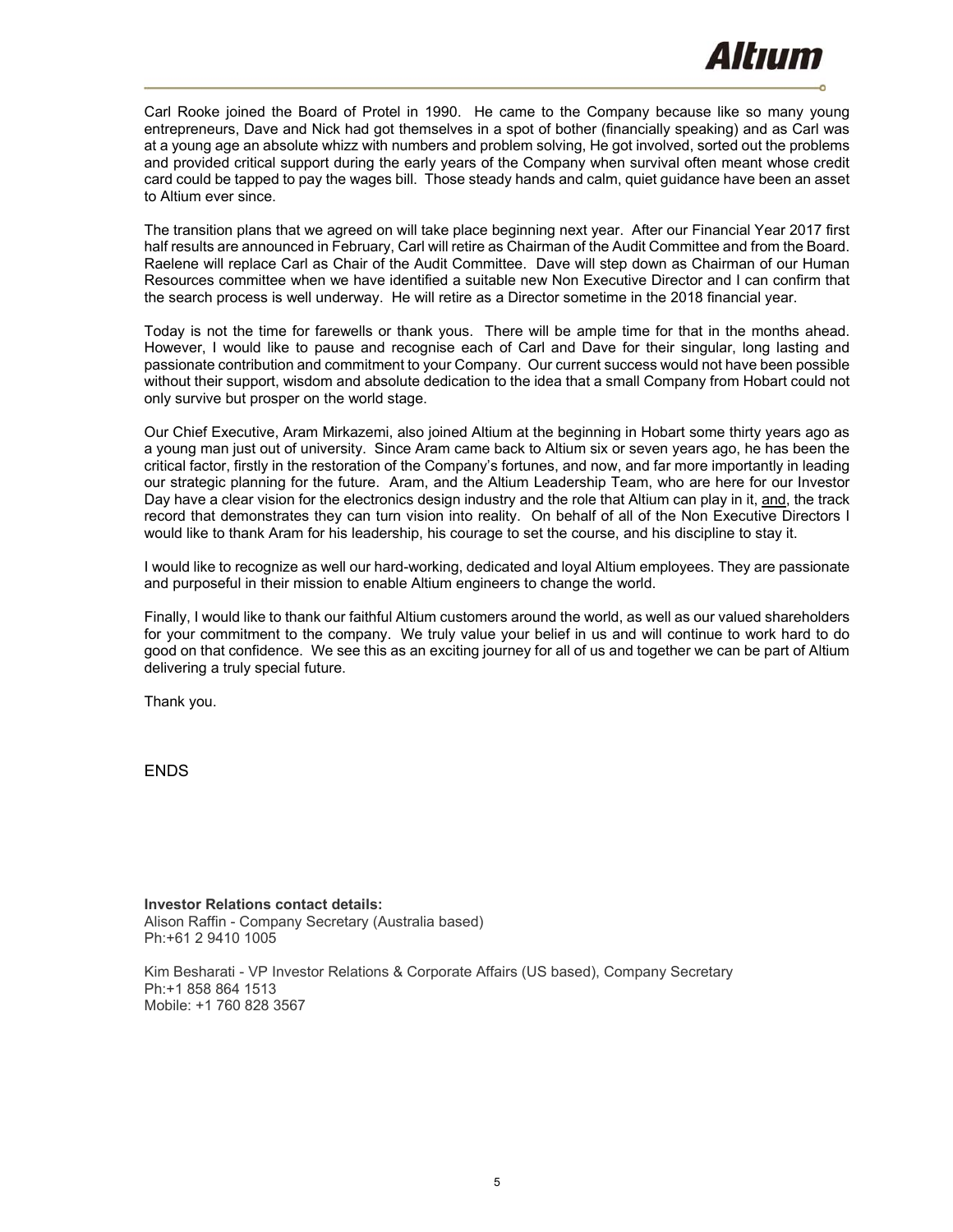Carl Rooke joined the Board of Protel in 1990. He came to the Company because like so many young entrepreneurs, Dave and Nick had got themselves in a spot of bother (financially speaking) and as Carl was at a young age an absolute whizz with numbers and problem solving, He got involved, sorted out the problems and provided critical support during the early years of the Company when survival often meant whose credit card could be tapped to pay the wages bill. Those steady hands and calm, quiet guidance have been an asset to Altium ever since.

The transition plans that we agreed on will take place beginning next year. After our Financial Year 2017 first half results are announced in February, Carl will retire as Chairman of the Audit Committee and from the Board. Raelene will replace Carl as Chair of the Audit Committee. Dave will step down as Chairman of our Human Resources committee when we have identified a suitable new Non Executive Director and I can confirm that the search process is well underway. He will retire as a Director sometime in the 2018 financial year.

Today is not the time for farewells or thank yous. There will be ample time for that in the months ahead. However, I would like to pause and recognise each of Carl and Dave for their singular, long lasting and passionate contribution and commitment to your Company. Our current success would not have been possible without their support, wisdom and absolute dedication to the idea that a small Company from Hobart could not only survive but prosper on the world stage.

Our Chief Executive, Aram Mirkazemi, also joined Altium at the beginning in Hobart some thirty years ago as a young man just out of university. Since Aram came back to Altium six or seven years ago, he has been the critical factor, firstly in the restoration of the Company's fortunes, and now, and far more importantly in leading our strategic planning for the future. Aram, and the Altium Leadership Team, who are here for our Investor Day have a clear vision for the electronics design industry and the role that Altium can play in it, and, the track record that demonstrates they can turn vision into reality. On behalf of all of the Non Executive Directors I would like to thank Aram for his leadership, his courage to set the course, and his discipline to stay it.

I would like to recognize as well our hard-working, dedicated and loyal Altium employees. They are passionate and purposeful in their mission to enable Altium engineers to change the world.

Finally, I would like to thank our faithful Altium customers around the world, as well as our valued shareholders for your commitment to the company. We truly value your belief in us and will continue to work hard to do good on that confidence. We see this as an exciting journey for all of us and together we can be part of Altium delivering a truly special future.

Thank you.

ENDS

**Investor Relations contact details:** Alison Raffin - Company Secretary (Australia based) Ph:+61 2 9410 1005

Kim Besharati - VP Investor Relations & Corporate Affairs (US based), Company Secretary Ph:+1 858 864 1513 Mobile: +1 760 828 3567